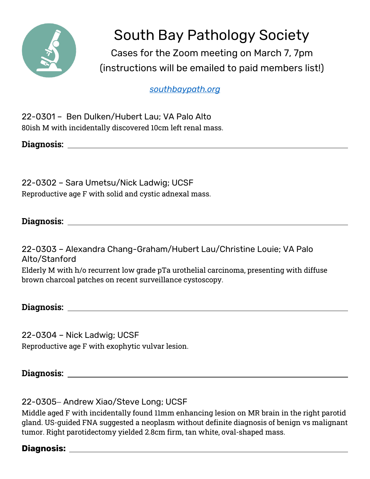

South Bay Pathology Society

Cases for the Zoom meeting on March 7, 7pm (instructions will be emailed to paid members list!)

*[southbaypath.org](https://southbaypath.org/)*

22-0301 – Ben Dulken/Hubert Lau; VA Palo Alto 80ish M with incidentally discovered 10cm left renal mass.

**Diagnosis:** 

22-0302 – Sara Umetsu/Nick Ladwig; UCSF Reproductive age F with solid and cystic adnexal mass.

# **Diagnosis:**

22-0303 – Alexandra Chang-Graham/Hubert Lau/Christine Louie; VA Palo Alto/Stanford Elderly M with h/o recurrent low grade pTa urothelial carcinoma, presenting with diffuse brown charcoal patches on recent surveillance cystoscopy.

**Diagnosis:** 

22-0304 – Nick Ladwig; UCSF Reproductive age F with exophytic vulvar lesion.

**Diagnosis:** 

22-0305 - Andrew Xiao/Steve Long; UCSF

Middle aged F with incidentally found 11mm enhancing lesion on MR brain in the right parotid gland. US-guided FNA suggested a neoplasm without definite diagnosis of benign vs malignant tumor. Right parotidectomy yielded 2.8cm firm, tan white, oval-shaped mass.

# **Diagnosis:**